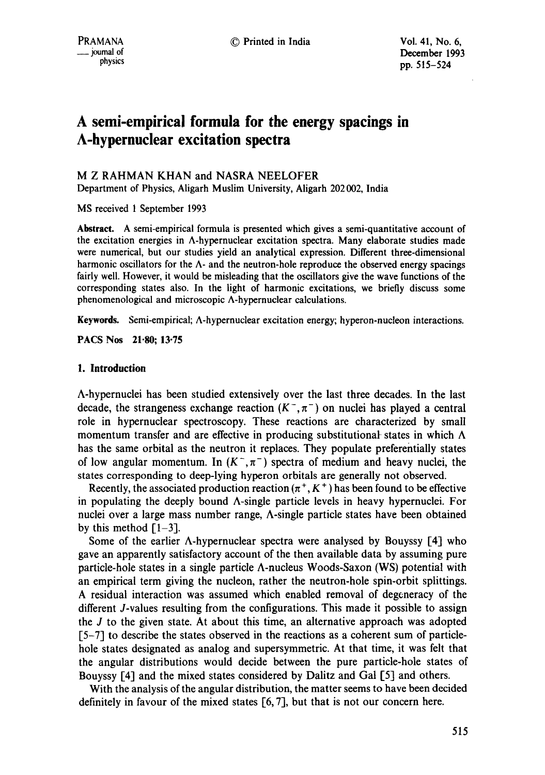# **A semi-empirical formula for the energy spacings in A-hypernuclear excitation spectra**

M Z RAHMAN KHAN and NASRA NEELOFER

Department of Physics, Aligarh Muslim University, Aligarh 202 002, India

MS received 1 September 1993

**Abstract.** A semi-empirical formula is presented which gives a semi-quantitative account of the excitation energies in A-hypernuclear excitation spectra. Many elaborate studies made were numerical, but our studies yield an analytical expression. Different three-dimensional harmonic oscillators for the  $\Lambda$ - and the neutron-hole reproduce the observed energy spacings fairly well. However, it would be misleading that the oscillators give the wave functions of the corresponding states also. In the light of harmonic excitations, we briefly discuss some phenomenological and microscopic A-hypernuclear calculations.

Keywords. Semi-empirical; A-hypernuclear excitation energy; hyperon-nucleon interactions.

PACS Nos 21-80; 13.75

## **1. Introduction**

A-hypernuclei has been studied extensively over the last three decades. In the last decade, the strangeness exchange reaction  $(K^-, \pi^-)$  on nuclei has played a central role in hypernuclear spectroscopy. These reactions are characterized by small momentum transfer and are effective in producing substitutional states in which  $\Lambda$ has the same orbital as the neutron it replaces. They populate preferentially states of low angular momentum. In  $(K^-,\pi^-)$  spectra of medium and heavy nuclei, the states corresponding to deep-lying hyperon orbitals are generally not observed.

Recently, the associated production reaction  $(\pi^+, K^+)$  has been found to be effective in populating the deeply bound A-single particle levels in heavy hypernuclei. For nuclei over a large mass number range, A-single particle states have been obtained by this method  $[1-3]$ .

Some of the earlier  $\Lambda$ -hypernuclear spectra were analysed by Bouyssy [4] who gave an apparently satisfactory account of the then available data by assuming pure particle-hole states in a single particle A-nucleus Woods-Saxon (WS) potential with an empirical term giving the nucleon, rather the neutron-hole spin-orbit splittings. A residual interaction was assumed which enabled removal of degeneracy of the different J-values resulting from the configurations. This made it possible to assign the J to the given state. At about this time, an alternative approach was adopted [5-7] to describe the states observed in the reactions as a coherent sum of particlehole states designated as analog and supersymmetric. At that time, it was felt that the angular distributions would decide between the pure particle-hole states of Bouyssy [4] and the mixed states considered by Dalitz and Gal [5] and others.

With the analysis of the angular distribution, the matter seems to have been decided definitely in favour of the mixed states [6, 7], but that is not our concern here.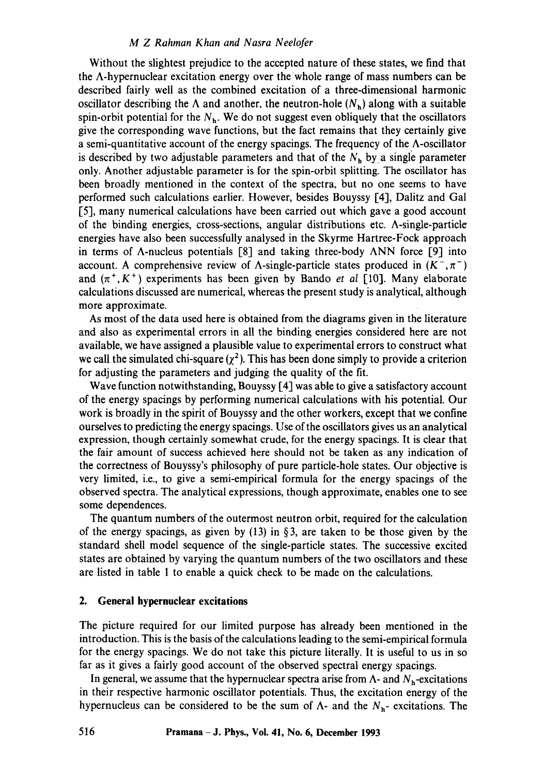#### *M Z Rahman Khan and Nasra Neelofer*

Without the slightest prejudice to the accepted nature of these states, we find that the  $\Lambda$ -hypernuclear excitation energy over the whole range of mass numbers can be described fairly well as the combined excitation of a three-dimensional harmonic oscillator describing the  $\Lambda$  and another, the neutron-hole  $(N_h)$  along with a suitable spin-orbit potential for the  $N<sub>h</sub>$ . We do not suggest even obliquely that the oscillators give the corresponding wave functions, but the fact remains that they certainly give a semi-quantitative account of the energy spacings. The frequency of the  $\Lambda$ -oscillator is described by two adjustable parameters and that of the  $N<sub>h</sub>$  by a single parameter only. Another adjustable parameter is for the spin-orbit splitting. The oscillator has been broadly mentioned in the context of the spectra, but no one seems to have performed such calculations earlier. However, besides Bouyssy [4], Dalitz and Gal [5], many numerical calculations have been carried out which gave a good account of the binding energies, cross-sections, angular distributions etc. A-single-particle energies have also been successfully analysed in the Skyrme Hartree-Fock approach in terms of  $\Lambda$ -nucleus potentials [8] and taking three-body  $\Lambda NN$  force [9] into account. A comprehensive review of  $\Lambda$ -single-particle states produced in  $(K^-,\pi^-)$ and  $(\pi^+, K^+)$  experiments has been given by Bando *et al* [10]. Many elaborate calculations discussed are numerical, whereas the present study is analytical, although more approximate.

As most of the data used here is obtained from the diagrams given in the literature and also as experimental errors in all the binding energies considered here are not available, we have assigned a plausible value to experimental errors to construct what we call the simulated chi-square  $(\chi^2)$ . This has been done simply to provide a criterion for adjusting the parameters and judging the quality of the fit.

Wave function notwithstanding, Bouyssy [4] was able to give a satisfactory account of the energy spacings by performing numerical calculations with his potential. Our work is broadly in the spirit of Bouyssy and the other workers, except that we confine ourselves to predicting the energy spacings. Use of the oscillators gives us an analytical expression, though certainly somewhat crude, for the energy spacings. It is clear that the fair amount of success achieved here should not be taken as any indication of the correctness of Bouyssy's philosophy of pure particle-hole states. Our objective is very limited, i.e., to give a semi-empirical formula for the energy spacings of the observed spectra. The analytical expressions, though approximate, enables one to see some dependences.

The quantum numbers of the outermost neutron orbit, required for the calculation of the energy spacings, as given by  $(13)$  in §3, are taken to be those given by the standard shell model sequence of the single-particle states. The successive excited states are obtained by varying the quantum numbers of the two oscillators and these are listed in table 1 to enable a quick check to be made on the calculations.

### **2. General hypernuclear excitations**

The picture required for our limited purpose has already been mentioned in the introduction. This is the basis of the calculations leading to the semi-empirical formula for the energy spacings. We do not take this picture literally. It is useful to us in so far as it gives a fairly good account of the observed spectral energy spacings.

In general, we assume that the hypernuclear spectra arise from  $\Lambda$ - and  $N_h$ -excitations in their respective harmonic oscillator potentials. Thus, the excitation energy of the hypernucleus can be considered to be the sum of  $\Lambda$ - and the  $N_{h}$ - excitations. The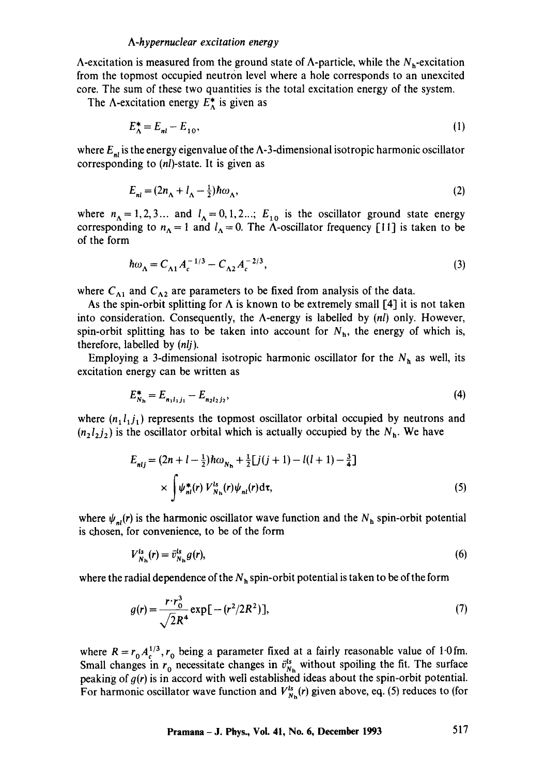A-excitation is measured from the ground state of A-particle, while the  $N_h$ -excitation from the topmost occupied neutron level where a hole corresponds to an unexcited core. The sum of these two quantities is the total excitation energy of the system.

The  $\Lambda$ -excitation energy  $E_{\Lambda}^*$  is given as

$$
E_{\Lambda}^* = E_{nl} - E_{10},\tag{1}
$$

where  $E_{nl}$  is the energy eigenvalue of the  $\Lambda$ -3-dimensional isotropic harmonic oscillator corresponding to (nl)-state. It is given as

$$
E_{nl} = (2n_{\Lambda} + l_{\Lambda} - \frac{1}{2})\hbar\omega_{\Lambda},\tag{2}
$$

where  $n_A = 1, 2, 3...$  and  $l_A = 0, 1, 2...; E_{10}$  is the oscillator ground state energy corresponding to  $n_A = 1$  and  $l_A = 0$ . The A-oscillator frequency [11] is taken to be of the form

$$
\hbar \omega_{\Lambda} = C_{\Lambda 1} A_c^{-1/3} - C_{\Lambda 2} A_c^{-2/3},\tag{3}
$$

where  $C_{\Lambda 1}$  and  $C_{\Lambda 2}$  are parameters to be fixed from analysis of the data.

As the spin-orbit splitting for  $\Lambda$  is known to be extremely small [4] it is not taken into consideration. Consequently, the A-energy is labelled by *(hi)* only. However, spin-orbit splitting has to be taken into account for  $N<sub>h</sub>$ , the energy of which is, therefore, labelled by *(nlj).* 

Employing a 3-dimensional isotropic harmonic oscillator for the  $N<sub>h</sub>$  as well, its excitation energy can be written as

$$
E_{N_{\rm h}}^* = E_{n_1 l_1 j_1} - E_{n_2 l_2 j_2},\tag{4}
$$

where  $(n_1l_1j_1)$  represents the topmost oscillator orbital occupied by neutrons and  $(n_2l_2j_2)$  is the oscillator orbital which is actually occupied by the  $N<sub>h</sub>$ . We have

$$
E_{nlj} = (2n + l - \frac{1}{2})\hbar\omega_{N_{\rm h}} + \frac{1}{2}[j(j+1) - l(l+1) - \frac{3}{4}]
$$
  
 
$$
\times \int \psi_{nl}^*(r) V_{N_{\rm h}}^*(r)\psi_{nl}(r) d\tau,
$$
 (5)

where  $\psi_{nl}(r)$  is the harmonic oscillator wave function and the  $N_h$  spin-orbit potential is chosen, for convenience, to be of the form

$$
V_{N_{\rm h}}^{\rm ls}(r) = \bar{v}_{N_{\rm h}}^{\rm ls} g(r),\tag{6}
$$

where the radial dependence of the  $N<sub>h</sub>$  spin-orbit potential is taken to be of the form

$$
g(r) = \frac{r \cdot r_0^3}{\sqrt{2}R^4} \exp[-(r^2/2R^2)],
$$
\n(7)

where  $R = r_0 A_c^{1/3}$ ,  $r_0$  being a parameter fixed at a fairly reasonable value of 1.0 fm. Small changes in  $r_0$  necessitate changes in  $\bar{v}_{N_{\rm h}}^{ts}$  without spoiling the fit. The surface peaking of  $g(r)$  is in accord with well established ideas about the spin-orbit potential. For harmonic oscillator wave function and  $V_{N_h}^{ls}(r)$  given above, eq. (5) reduces to (for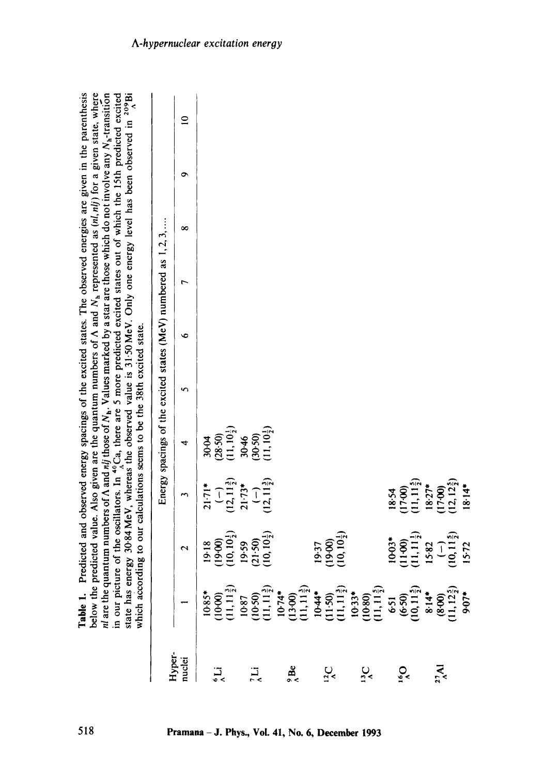|                           | nl are the quar<br>which accord                                                                                                                                                                                                                                                                                                   |                                    |                                         | Table 1. Predicted and observed energy spacings of the excited states. The observed energies are given in the parenthesis<br>below the predicted value. Also given are the quantum numbers of $\Lambda$ and $N_h$ represented as $(nl, nlj)$ for a given state, where<br>ntum numbers of A and nij those of N <sub>h</sub> . Values marked by a star are those which do not involve any N <sub>h</sub> -transition<br>in our picture of the oscillators. In ",Ca, there are 5 more predicted excited states out of which the 15th predicted excited<br>state has energy 30.84 MeV, whereas the observed value is 31.50 MeV. Only one energy level has been observed in <sup>2</sup> ,81<br>ing to our calculations seems to be the 38th excited state. |   |   |   |   |   |                |
|---------------------------|-----------------------------------------------------------------------------------------------------------------------------------------------------------------------------------------------------------------------------------------------------------------------------------------------------------------------------------|------------------------------------|-----------------------------------------|--------------------------------------------------------------------------------------------------------------------------------------------------------------------------------------------------------------------------------------------------------------------------------------------------------------------------------------------------------------------------------------------------------------------------------------------------------------------------------------------------------------------------------------------------------------------------------------------------------------------------------------------------------------------------------------------------------------------------------------------------------|---|---|---|---|---|----------------|
|                           |                                                                                                                                                                                                                                                                                                                                   |                                    |                                         | Energy spacings of the excited states (MeV) numbered as $1, 2, 3, $                                                                                                                                                                                                                                                                                                                                                                                                                                                                                                                                                                                                                                                                                    |   |   |   |   |   |                |
| Hyper-<br>nuclei          |                                                                                                                                                                                                                                                                                                                                   | $\mathbf{\sim}$                    | m                                       | 4                                                                                                                                                                                                                                                                                                                                                                                                                                                                                                                                                                                                                                                                                                                                                      | n | G | L | ∞ | ۰ | $\overline{a}$ |
|                           |                                                                                                                                                                                                                                                                                                                                   | 19.18                              | $21 - 71*$                              | 30.04                                                                                                                                                                                                                                                                                                                                                                                                                                                                                                                                                                                                                                                                                                                                                  |   |   |   |   |   |                |
| ړن<br>پ                   |                                                                                                                                                                                                                                                                                                                                   | $(10, 10\frac{1}{2})$<br>(19.00)   | $(12, 11\frac{3}{2})$<br>J              | $(28.50)$<br>$(11, 10\frac{1}{2})$                                                                                                                                                                                                                                                                                                                                                                                                                                                                                                                                                                                                                                                                                                                     |   |   |   |   |   |                |
|                           |                                                                                                                                                                                                                                                                                                                                   | 19.59                              | $21 - 73*$                              | 30.46                                                                                                                                                                                                                                                                                                                                                                                                                                                                                                                                                                                                                                                                                                                                                  |   |   |   |   |   |                |
| μį                        |                                                                                                                                                                                                                                                                                                                                   | $(10, 10\frac{1}{7})$<br>$(21-50)$ | $(12, 11\frac{3}{7})$<br>$\overline{1}$ | $11, 10\frac{1}{2}$<br>(30.50)                                                                                                                                                                                                                                                                                                                                                                                                                                                                                                                                                                                                                                                                                                                         |   |   |   |   |   |                |
| $\frac{3}{2}$             |                                                                                                                                                                                                                                                                                                                                   |                                    |                                         |                                                                                                                                                                                                                                                                                                                                                                                                                                                                                                                                                                                                                                                                                                                                                        |   |   |   |   |   |                |
|                           |                                                                                                                                                                                                                                                                                                                                   | 19.37                              |                                         |                                                                                                                                                                                                                                                                                                                                                                                                                                                                                                                                                                                                                                                                                                                                                        |   |   |   |   |   |                |
| $\frac{1}{2}$             |                                                                                                                                                                                                                                                                                                                                   | $(10, 10\frac{1}{2})$<br>(19.00)   |                                         |                                                                                                                                                                                                                                                                                                                                                                                                                                                                                                                                                                                                                                                                                                                                                        |   |   |   |   |   |                |
| $\mathbf{S}_{\mathbf{c}}$ | $\begin{array}{l} 1085^* \\ (1000) \\ (1000) \\ (1111) \\ (1000) \\ (1111) \\ (1111) \\ (1111) \\ (1111) \\ (1111) \\ (1111) \\ (1111) \\ (1111) \\ (1111) \\ (1111) \\ (1111) \\ (1111) \\ (1111) \\ (1111) \\ (1111) \\ (1111) \\ (1111) \\ (1111) \\ (1111) \\ (1111) \\ (1111) \\ (1111) \\ (1111) \\ (1111) \\ (1111) \\ (1$ |                                    |                                         |                                                                                                                                                                                                                                                                                                                                                                                                                                                                                                                                                                                                                                                                                                                                                        |   |   |   |   |   |                |
| $\mathbf{S}_{\mathbf{S}}$ |                                                                                                                                                                                                                                                                                                                                   | $10-03*$<br>(1100)                 | (17.00)<br>18.54                        |                                                                                                                                                                                                                                                                                                                                                                                                                                                                                                                                                                                                                                                                                                                                                        |   |   |   |   |   |                |
|                           |                                                                                                                                                                                                                                                                                                                                   | $(11, 11\frac{1}{2})$              | $(11, 11\frac{5}{2})$                   |                                                                                                                                                                                                                                                                                                                                                                                                                                                                                                                                                                                                                                                                                                                                                        |   |   |   |   |   |                |
| $\sum_{\lambda}$          |                                                                                                                                                                                                                                                                                                                                   | 15-82                              | $18.27*$<br>(17.00)                     |                                                                                                                                                                                                                                                                                                                                                                                                                                                                                                                                                                                                                                                                                                                                                        |   |   |   |   |   |                |
|                           |                                                                                                                                                                                                                                                                                                                                   | $(10, 11\frac{5}{7})$<br>$\vert$   | $(12, 12\frac{5}{2})$                   |                                                                                                                                                                                                                                                                                                                                                                                                                                                                                                                                                                                                                                                                                                                                                        |   |   |   |   |   |                |
|                           |                                                                                                                                                                                                                                                                                                                                   | 15.72                              | $18.14*$                                |                                                                                                                                                                                                                                                                                                                                                                                                                                                                                                                                                                                                                                                                                                                                                        |   |   |   |   |   |                |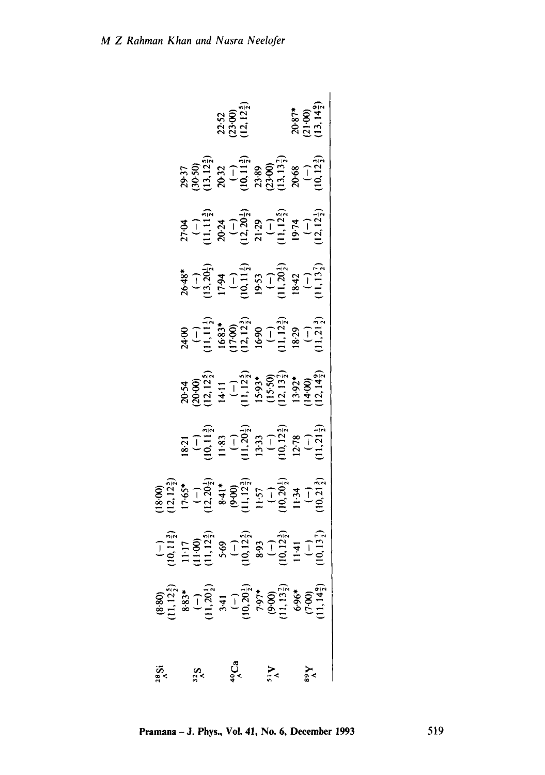| $S_{25}^{\gamma}$    |                                                                                                                                                                                                                                              |                                                                                                        |                                                                                                                                                                                                                                                                                                         |                                                                                                                                     |                                                                                                                                                                                                                                                                                                                                 |                                                                                                                                              |                                                                                                                                               |                                                                                                                            |                                                                                                                                                                   |                                                         |
|----------------------|----------------------------------------------------------------------------------------------------------------------------------------------------------------------------------------------------------------------------------------------|--------------------------------------------------------------------------------------------------------|---------------------------------------------------------------------------------------------------------------------------------------------------------------------------------------------------------------------------------------------------------------------------------------------------------|-------------------------------------------------------------------------------------------------------------------------------------|---------------------------------------------------------------------------------------------------------------------------------------------------------------------------------------------------------------------------------------------------------------------------------------------------------------------------------|----------------------------------------------------------------------------------------------------------------------------------------------|-----------------------------------------------------------------------------------------------------------------------------------------------|----------------------------------------------------------------------------------------------------------------------------|-------------------------------------------------------------------------------------------------------------------------------------------------------------------|---------------------------------------------------------|
|                      |                                                                                                                                                                                                                                              |                                                                                                        |                                                                                                                                                                                                                                                                                                         |                                                                                                                                     |                                                                                                                                                                                                                                                                                                                                 |                                                                                                                                              |                                                                                                                                               |                                                                                                                            |                                                                                                                                                                   |                                                         |
|                      |                                                                                                                                                                                                                                              |                                                                                                        |                                                                                                                                                                                                                                                                                                         |                                                                                                                                     |                                                                                                                                                                                                                                                                                                                                 |                                                                                                                                              |                                                                                                                                               |                                                                                                                            |                                                                                                                                                                   |                                                         |
| $40^\circ$ Ca        |                                                                                                                                                                                                                                              |                                                                                                        |                                                                                                                                                                                                                                                                                                         |                                                                                                                                     |                                                                                                                                                                                                                                                                                                                                 |                                                                                                                                              |                                                                                                                                               |                                                                                                                            |                                                                                                                                                                   |                                                         |
|                      |                                                                                                                                                                                                                                              |                                                                                                        |                                                                                                                                                                                                                                                                                                         |                                                                                                                                     | $20.54$<br>$20.000$<br>$12.12_2^5$<br>$14.11$<br>$(-)$<br>$(-)$<br>$(-)$<br>$(-)$<br>$(-)$<br>$(-)$<br>$(-)$<br>$(-)$<br>$(-)$<br>$(-)$<br>$(-)$<br>$(-)$<br>$(-)$<br>$(-)$<br>$(-)$<br>$(-)$<br>$(-)$<br>$(-)$<br>$(-)$<br>$(-)$<br>$(-)$<br>$(-)$<br>$(-)$<br>$(-)$<br>$(-)$<br>$(-)$<br>$(-)$<br>$(-)$<br>$(-)$<br>$(-)$<br> | $2400$<br>$(-)$<br>$(-1, 11, 12)$<br>$(-1, 11, 12)$<br>$(-1, 12, 12)$<br>$(-1, 12, 2)$<br>$(-1, 12, 12)$<br>$(-1, 12, 12)$<br>$(-1, 12, 12)$ | $2648$ *<br>$(-)$<br>$(-)$<br>$(13,202)$<br>$(13,203)$<br>$(-)$<br>$(11,1)$<br>$(13,202)$<br>$(16,42)$<br>$(16,42)$<br>$(16,42)$<br>$(16,42)$ | $2794$<br>$(-)$<br>$(-)$<br>$(1, 1, 1, 2)$<br>$2024$<br>$2122$<br>$2122$<br>$2122$<br>$2122$<br>$2122$<br>$2122$<br>$2122$ | $29-37$<br>$30-50$<br>$30-32$<br>$30-32$<br>$30-32$<br>$30-30$<br>$30-30$<br>$30-30$<br>$30-30$<br>$30-30$<br>$30-32$<br>$30-32$<br>$30-32$<br>$10,12$<br>$12-32$ | 22.52<br>23.00)<br>12, 12 <sup>5</sup>                  |
|                      |                                                                                                                                                                                                                                              |                                                                                                        |                                                                                                                                                                                                                                                                                                         |                                                                                                                                     |                                                                                                                                                                                                                                                                                                                                 |                                                                                                                                              |                                                                                                                                               |                                                                                                                            |                                                                                                                                                                   |                                                         |
| $\Lambda_{15}^{\nu}$ |                                                                                                                                                                                                                                              |                                                                                                        |                                                                                                                                                                                                                                                                                                         |                                                                                                                                     |                                                                                                                                                                                                                                                                                                                                 |                                                                                                                                              |                                                                                                                                               |                                                                                                                            |                                                                                                                                                                   |                                                         |
|                      |                                                                                                                                                                                                                                              |                                                                                                        |                                                                                                                                                                                                                                                                                                         |                                                                                                                                     |                                                                                                                                                                                                                                                                                                                                 |                                                                                                                                              |                                                                                                                                               |                                                                                                                            |                                                                                                                                                                   |                                                         |
|                      |                                                                                                                                                                                                                                              |                                                                                                        |                                                                                                                                                                                                                                                                                                         |                                                                                                                                     |                                                                                                                                                                                                                                                                                                                                 |                                                                                                                                              |                                                                                                                                               |                                                                                                                            |                                                                                                                                                                   |                                                         |
| $\chi_{68}^{\vee}$   |                                                                                                                                                                                                                                              |                                                                                                        |                                                                                                                                                                                                                                                                                                         |                                                                                                                                     |                                                                                                                                                                                                                                                                                                                                 |                                                                                                                                              |                                                                                                                                               |                                                                                                                            |                                                                                                                                                                   |                                                         |
|                      | (8.80)<br>(11, 12 <sup>5</sup> )<br>8.83*<br>8.83*<br>(11, 20 <sub>1</sub> <sup>5</sup> )<br>(11, 13 <sup>5</sup> <sub>1</sub> )<br>(9.60)<br>(7.00)<br>(7.00)<br>(11, 13 <sub>7</sub> <sup>5</sup> )<br>(11, 13 <sub>7</sub> <sup>5</sup> ) | $(-)$<br>10.1137<br>11:17<br>11:100<br>5.69<br>5.69<br>10.1231<br>11:41<br>10.1331<br>11:41<br>10.1331 | $\begin{array}{l} 18\,90 \\ 12.12 \\ 17.65 \\ 19.20 \\ 11.12 \\ 13.20 \\ 14.13 \\ 15.7 \\ 16.7 \\ 17.5 \\ 18.5 \\ 19.20 \\ 11.34 \\ 13.4 \\ 14.3 \\ 15.7 \\ 16.21 \\ 19.20 \\ 10.21 \\ 13.4 \\ 13.4 \\ 16.21 \\ 19.21 \\ 10.21 \\ 13.4 \\ 10.22 \\ 15. \\ 16.23 \\ 18. \\ 19.23 \\ 19.23 \\ 10.23 \\ 1$ | 18/21<br>$(-)$<br>$(-)$<br>$(-)$<br>$(13)$<br>$(13)$<br>$(13)$<br>$(13)$<br>$(12)$<br>$(-)$<br>$(12)$<br>$(12)$<br>$(12)$<br>$(12)$ |                                                                                                                                                                                                                                                                                                                                 |                                                                                                                                              |                                                                                                                                               |                                                                                                                            |                                                                                                                                                                   | $20.87$ *<br>21.00)<br>13, 14 <sup>9</sup> <sub>2</sub> |
|                      |                                                                                                                                                                                                                                              |                                                                                                        |                                                                                                                                                                                                                                                                                                         |                                                                                                                                     |                                                                                                                                                                                                                                                                                                                                 |                                                                                                                                              |                                                                                                                                               |                                                                                                                            |                                                                                                                                                                   |                                                         |

**Pramana -J. Phys., Vol. 41, No. 6, December 1993 519**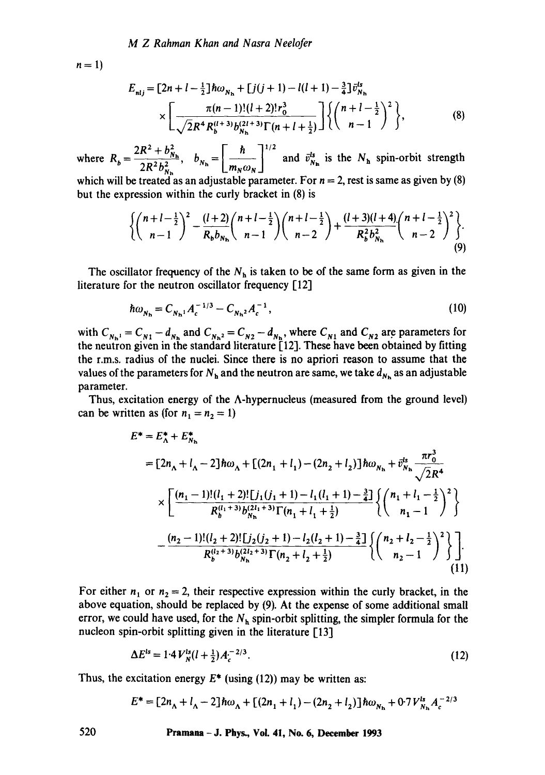$n=1$ 

$$
E_{nlj} = [2n + l - \frac{1}{2}] \hbar \omega_{N_{\rm h}} + [j(j+1) - l(l+1) - \frac{3}{4}] \bar{v}_{N_{\rm h}}^{ls}
$$
  
 
$$
\times \left[ \frac{\pi (n-1)!(l+2)! r_0^3}{\sqrt{2}R^4 R_b^{(l+3)} b_{N_{\rm h}}^{(2l+3)} \Gamma(n+l+\frac{1}{2})} \right] \left\{ \left( \frac{n+l-\frac{1}{2}}{n-1} \right)^2 \right\},
$$
 (8)

 $2R^2 + b_{N_b}^2$  *[ h*  $\frac{1}{2}$ where  $R_b = \frac{N_b}{2R^2b^2}$ ,  $b_{N_b} = \frac{N_b}{m_b/m_b}$  and  $\bar{v}_{N_b}^{ss}$  is the  $N_b$  spin-orbit strength which will be treated as an adjustable parameter. For  $n = 2$ , rest is same as given by (8) but the expression within the curly bracket in (8) is

$$
\left\{ \binom{n+l-\frac{1}{2}}{n-1}^2 - \frac{(l+2)}{R_b b_{N_h}} \binom{n+l-\frac{1}{2}}{n-1} \binom{n+l-\frac{1}{2}}{n-2} + \frac{(l+3)(l+4)}{R_b^2 b_{N_h}^2} \binom{n+l-\frac{1}{2}}{n-2}^2 \right\}.
$$
\n(9)

The oscillator frequency of the  $N<sub>h</sub>$  is taken to be of the same form as given in the literature for the neutron oscillator frequency [12]

$$
\hbar \omega_{N_{\rm h}} = C_{N_{\rm h}1} A_c^{-1/3} - C_{N_{\rm h}2} A_c^{-1},\tag{10}
$$

with  $C_{N_h} = C_{N1} - d_{N_h}$  and  $C_{N_h} = C_{N2} - d_{N_h}$ , where  $C_{N1}$  and  $C_{N2}$  are parameters for the neutron given in the standard literature [12]. These have been obtained by fitting the r.m.s, radius of the nuclei. Since there is no apfiori reason to assume that the values of the parameters for  $N_h$  and the neutron are same, we take  $d_{N_h}$  as an adjustable parameter.

Thus, excitation energy of the  $\Lambda$ -hypernucleus (measured from the ground level) can be written as (for  $n_1 = n_2 = 1$ )

$$
E^* = E^*_\Lambda + E^*_{N_h}
$$
  
=  $[2n_\Lambda + l_\Lambda - 2] \hbar \omega_\Lambda + [(2n_1 + l_1) - (2n_2 + l_2)] \hbar \omega_{N_h} + \bar{v}_{N_h}^{\text{ts}} \frac{\pi r_0^3}{\sqrt{2}R^4}$   

$$
\times \left[ \frac{(n_1 - 1)!(l_1 + 2)![j_1(j_1 + 1) - l_1(l_1 + 1) - \frac{3}{4}]}{R_b^{(l_1 + 3)} b_{N_h}^{(2l_1 + 3)} \Gamma(n_1 + l_1 + \frac{1}{2})} \left\{ \binom{n_1 + l_1 - \frac{1}{2}}{n_1 - 1}^2 \right\}
$$
  

$$
- \frac{(n_2 - 1)!(l_2 + 2)![j_2(j_2 + 1) - l_2(l_2 + 1) - \frac{3}{4}]}{R_b^{(l_2 + 3)} b_{N_h}^{(2l_2 + 3)} \Gamma(n_2 + l_2 + \frac{1}{2})} \left\{ \binom{n_2 + l_2 - \frac{1}{2}}{n_2 - 1}^2 \right\} \right].
$$
  
(11)

For either  $n_1$  or  $n_2 = 2$ , their respective expression within the curly bracket, in the above equation, should be replaced by (9). At the expense of some additional small error, we could have used, for the  $N<sub>h</sub>$  spin-orbit splitting, the simpler formula for the nucleon spin-orbit splitting given in the literature [13]

$$
\Delta E^{ls} = 1.4 V_N^{ls} (l + \frac{1}{2}) A_c^{-2/3}.
$$
 (12)

Thus, the excitation energy  $E^*$  (using (12)) may be written as:

$$
E^* = [2n_A + l_A - 2] \hbar \omega_A + [(2n_1 + l_1) - (2n_2 + l_2)] \hbar \omega_{N_h} + 0.7 V_{N_h}^{ls} A_c^{-2/3}
$$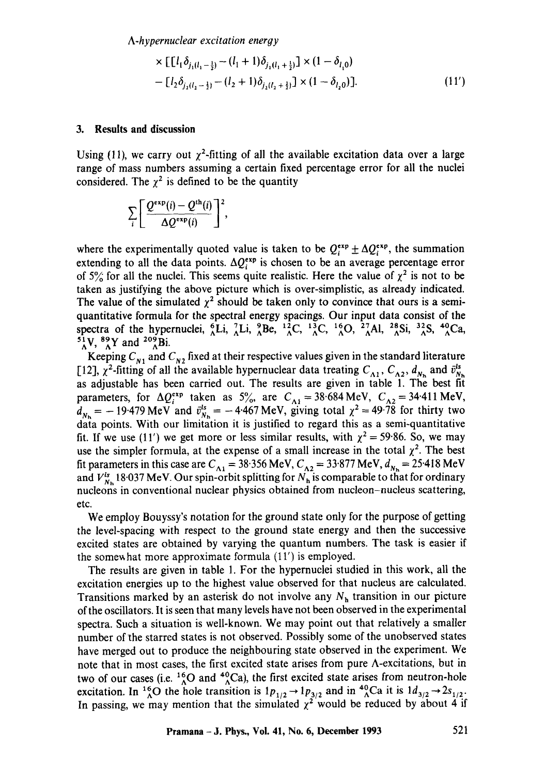*A-hypernuclear excitation energy* 

$$
\times \left[ [l_1 \delta_{j_1(l_1 - \frac{1}{2})} - (l_1 + 1) \delta_{j_1(l_1 + \frac{1}{2})}] \times (1 - \delta_{l_1 0}) \right]
$$
  
-  $[l_2 \delta_{j_2(l_2 - \frac{1}{2})} - (l_2 + 1) \delta_{j_2(l_2 + \frac{1}{2})}] \times (1 - \delta_{l_2 0})].$  (11')

### **3. Results and discussion**

Using (11), we carry out  $\gamma^2$ -fitting of all the available excitation data over a large range of mass numbers assuming a certain fixed percentage error for all the nuclei considered. The  $\chi^2$  is defined to be the quantity

$$
\sum_{i}\left[\frac{Q^{\exp}(i)-Q^{\text{th}}(i)}{\Delta Q^{\exp}(i)}\right]^{2},
$$

where the experimentally quoted value is taken to be  $Q_i^{exp} \pm \Delta Q_i^{exp}$ , the summation extending to all the data points.  $\Delta Q_i^{exp}$  is chosen to be an average percentage error of 5% for all the nuclei. This seems quite realistic. Here the value of  $\chi^2$  is not to be taken as justifying the above picture which is over-simplistic, as already indicated. The value of the simulated  $\chi^2$  should be taken only to convince that ours is a semiquantitative formula for the spectral energy spacings. Our input data consist of the spectra of the hypernuclei,  ${}_{3}^{6}Li$ ,  ${}_{4}^{7}Li$ ,  ${}_{8}^{9}Be$ ,  ${}_{2}^{12}C$ ,  ${}_{2}^{13}C$ ,  ${}_{8}^{14}O$ ,  ${}_{2}^{15}Al$ ,  ${}_{8}^{28}Si$ ,  ${}_{2}^{32}S$ ,  ${}_{8}^{40}Ca$ ,  $^{51}_{\Lambda}$ V,  $^{89}_{\Lambda}$ Y and  $^{209}_{\Lambda}$ Bi.

Keeping  $C_{N1}$  and  $C_{N2}$  fixed at their respective values given in the standard literature [12],  $\chi^2$ -fitting of all the available hypernuclear data treating  $C_{\Lambda 1}$ ,  $C_{\Lambda 2}$ ,  $d_{N_h}$  and  $\bar{v}_{N_h}^{ls}$ as adjustable has been carried out. The results are given in table 1. The best fit parameters, for  $\Delta Q_{i}^{exp}$  taken as 5%, are  $C_{\Delta i} = 38.684 \text{ MeV}$ ,  $C_{\Delta 2} = 34.411 \text{ MeV}$ ,  $d_{\nu} = -19.479$  MeV and  $\bar{v}_{\nu}^s = -4.467$  MeV, giving total  $\chi^2 = 49.78$  for thirty two data points. With our limitation it is justified to regard this as a semi-quantitative fit. If we use (11') we get more or less similar results, with  $\chi^2 = 59.86$ . So, we may use the simpler formula, at the expense of a small increase in the total  $\chi^2$ . The best fit parameters in this case are  $C_{\text{A1}} = 38.356 \text{ MeV}$ ,  $C_{\text{A2}} = 33.877 \text{ MeV}$ ,  $d_{N_{\text{h}}} = 25.418 \text{ MeV}$ and  $V_{N_h}^{l_s}$  18.037 MeV. Our spin-orbit splitting for  $N_h$  is comparable to that for ordinary nucleons in conventional nuclear physics obtained from nucleon-nucleus scattering, etc.

We employ Bouyssy's notation for the ground state only for the purpose of getting the level-spacing with respect to the ground state energy and then the successive excited states are obtained by varying the quantum numbers. The task is easier if the somewhat more approximate formula  $(11')$  is employed.

The results are given in table 1. For the hypernuclei studied in this work, all the excitation energies up to the highest value observed for that nucleus are calculated. Transitions marked by an asterisk do not involve any  $N<sub>h</sub>$  transition in our picture of the oscillators. It is seen that many levels have not been observed in the experimental spectra. Such a situation is well-known. We may point out that relatively a smaller number of the starred states is not observed. Possibly some of the unobserved states have merged out to produce the neighbouring state observed in the experiment. We note that in most cases, the first excited state arises from pure A-excitations, but in two of our cases (i.e.  $^{16}_{0}$ O and  $^{40}_{0}$ Ca), the first excited state arises from neutron-hole excitation. In <sup>16</sup><sub>0</sub>O the hole transition is  $1p_{1/2} \rightarrow 1p_{3/2}$  and in <sup>4</sup><sub>0</sub>Ca it is  $1d_{3/2} \rightarrow 2s_{1/2}$ . In passing, we may mention that the simulated  $\chi^2$  would be reduced by about 4 if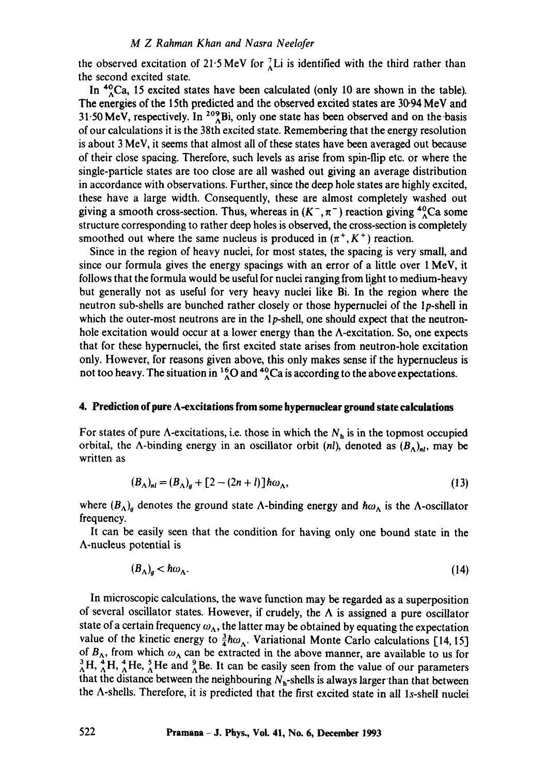### *M Z Rahman Khan and Nasra Neelofer*

the observed excitation of 21.5 MeV for  $^{7}_{\Lambda}$ Li is identified with the third rather than the second excited state.

In  ${}^{40}$ Ca, 15 excited states have been calculated (only 10 are shown in the table). The energies of the 15th predicted and the observed excited states are 30.94 MeV and 31.50 MeV, respectively. In  $^{209}$ Bi, only one state has been observed and on the basis of our calculations it is the 38th excited state. Remembering that the energy resolution is about 3 MeV, it seems that almost all of these states have been averaged out because of their close spacing. Therefore, such levels as arise from spin-flip etc. or where the single-particle states are too close are all washed out giving an average distribution in accordance with observations. Further, since the deep hole states are highly excited, these have a large width. Consequently, these are almost completely washed out giving a smooth cross-section. Thus, whereas in  $(K^-, \pi^-)$  reaction giving  $\frac{40}{3}Ca$  some structure corresponding to rather deep holes is observed, the cross-section is completely smoothed out where the same nucleus is produced in  $(\pi^+, K^+)$  reaction.

Since in the region of heavy nuclei, for most states, the spacing is very small, and since our formula gives the energy spacings with an error of a little over 1 MeV, it follows that the formula would be useful for nuclei ranging from light to medium-heavy but generally not as useful for very heavy nuclei like Bi. In the region where the neutron sub-shells are bunched rather closely or those hypernuclei of the lp-shell in which the outer-most neutrons are in the  $1p$ -shell, one should expect that the neutronhole excitation would occur at a lower energy than the  $\Lambda$ -excitation. So, one expects that for these hypernuclei, the first excited state arises from neutron-hole excitation only. However, for reasons given above, this only makes sense if the hypernucleus is not too heavy. The situation in  ${}^{16}_{\Lambda}$ O and  ${}^{40}_{\Lambda}$ Ca is according to the above expectations.

#### **4. Prediction of pure A-excitations from some hypernuclear ground state calculations**

For states of pure  $\Lambda$ -excitations, i.e. those in which the  $N_h$  is in the topmost occupied orbital, the A-binding energy in an oscillator orbit *(nl)*, denoted as  $(B_A)_{n l}$ , may be written as

$$
(B_{\Lambda})_{nl} = (B_{\Lambda})_g + [2 - (2n + l)] \hbar \omega_{\Lambda},
$$
\n(13)

where  $(B_A)_g$  denotes the ground state A-binding energy and  $\hbar\omega_A$  is the A-oscillator frequency.

It can be easily seen that the condition for having only one bound state in the A-nucleus potential is

$$
(B_{\Lambda})_g < \hbar \omega_{\Lambda}.
$$
 (14)

In microscopic calculations, the wave function may be regarded as a superposition of several oscillator states. However, if crudely, the  $\Lambda$  is assigned a pure oscillator state of a certain frequency  $\omega_{\Lambda}$ , the latter may be obtained by equating the expectation value of the kinetic energy to  $\frac{3}{4}\hbar\omega_A$ . Variational Monte Carlo calculations [14, 15] of  $B_{\Lambda}$ , from which  $\omega_{\Lambda}$  can be extracted in the above manner, are available to us for  ${}_{0}^{3}H$ ,  ${}_{0}^{4}H$ ,  ${}_{0}^{4}He$ ,  ${}_{0}^{3}He$ . It can be easily seen from the value of our parameters that the distance between the neighbouring  $N_h$ -shells is always larger than that between the A-shells. Therefore, it is predicted that the first excited state in all Is-shell nuclei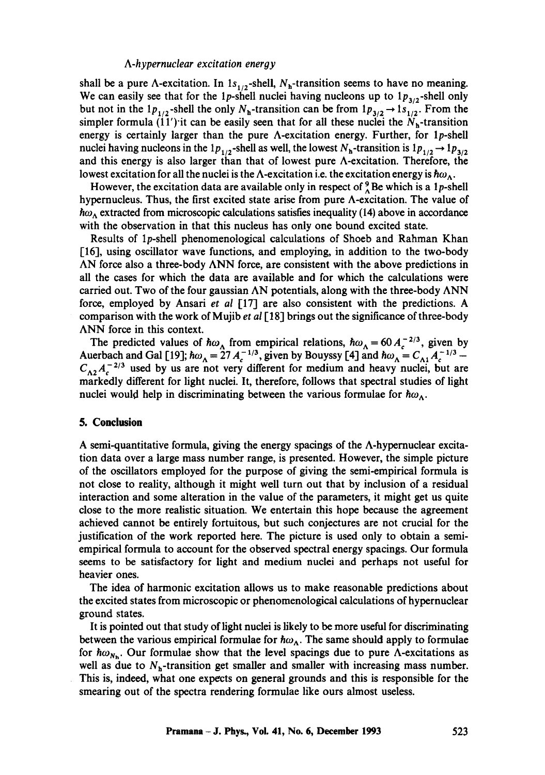#### *A-h ypernuclear excitation energy*

shall be a pure  $\Lambda$ -excitation. In 1s<sub>1/2</sub>-shell, N<sub>h</sub>-transition seems to have no meaning. We can easily see that for the 1p-shell nuclei having nucleons up to  $1p_{3/2}$ -shell only but not in the  $1p_{1/2}$ -shell the only  $N_h$ -transition can be from  $1p_{3/2} \rightarrow 1s_{1/2}$ . From the simpler formula  $(11')$  it can be easily seen that for all these nuclei the  $N_h$ -transition energy is certainly larger than the pure A-excitation energy. Further, for 1p-shell nuclei having nucleons in the 1 $p_{1/2}$ -shell as well, the lowest  $N_h$ -transition is  $1p_{1/2} \rightarrow 1p_{3/2}$ and this energy is also larger than that of lowest pure A-excitation. Therefore, the lowest excitation for all the nuclei is the  $\Lambda$ -excitation i.e. the excitation energy is  $\hbar\omega_{\Lambda}$ .

However, the excitation data are available only in respect of  $^9_\Lambda$  Be which is a 1p-shell hypernucleus. Thus, the first excited state arise from pure A-excitation. The value of  $\hbar\omega_{\Lambda}$  extracted from microscopic calculations satisfies inequality (14) above in accordance with the observation in that this nucleus has only one bound excited state.

Results of 1p-shell phenomenological calculations of Shoeb and Rahman Khan [16], using oscillator wave functions, and employing, in addition to the two-body AN force also a three-body ANN force, are consistent with the above predictions in all the cases for which the data are available and for which the calculations were carried out. Two of the four gaussian AN potentials, along with the three-body ANN force, employed by Ansari *et al* [17] are also consistent with the predictions. A comparison with the work of Mujib *et al* [18] brings out the significance of three-body ANN force in this context.

The predicted values of  $\hbar\omega_{\lambda}$  from empirical relations,  $\hbar\omega_{\lambda} = 60 A_c^{-2/3}$ , given by Auerbach and Gal [19];  $\hbar \omega_{\Lambda} = 27 A_c^{-1/3}$ , given by Bouyssy [4] and  $\hbar \omega_{\Lambda} = C_{\Lambda} A_c^{-1/3} - C_{\Lambda} A_c^{-1/3}$  $C_{\Lambda 2}A_{\sigma}^{-2/3}$  used by us are not very different for medium and heavy nuclei, but are markedly different for light nuclei. It, therefore, follows that spectral studies of light nuclei would help in discriminating between the various formulae for  $\hbar\omega_{\Lambda}$ .

#### **5. Conclusion**

A semi-quantitative formula, giving the energy spacings of the  $\Lambda$ -hypernuclear excitation data over a large mass number range, is presented. However, the simple picture of the oscillators employed for the purpose of giving the semi-empirical formula is not close to reality, although it might well turn out that by inclusion of a residual interaction and some alteration in the value of the parameters, it might get us quite close to the more realistic situation. We entertain this hope because the agreement achieved cannot be entirely fortuitous, but such conjectures are not crucial for the justification of the work reported here. The picture is used only to obtain a semiempirical formula to account for the observed spectral energy spacings. Our formula seems to be satisfactory for light and medium nuclei and perhaps not useful for heavier ones.

The idea of harmonic excitation allows us to make reasonable predictions about the excited states from microscopic or phenomenological calculations of hypernuclear ground states.

It is pointed out that study of light nuclei is likely to be more useful for discriminating between the various empirical formulae for  $\hbar\omega_{\Lambda}$ . The same should apply to formulae for  $\hbar\omega_{N_{\rm N}}$ . Our formulae show that the level spacings due to pure  $\Lambda$ -excitations as well as due to  $N_h$ -transition get smaller and smaller with increasing mass number. This is, indeed, what one expects on general grounds and this is responsible for the smearing out of the spectra rendering formulae like ours almost useless.